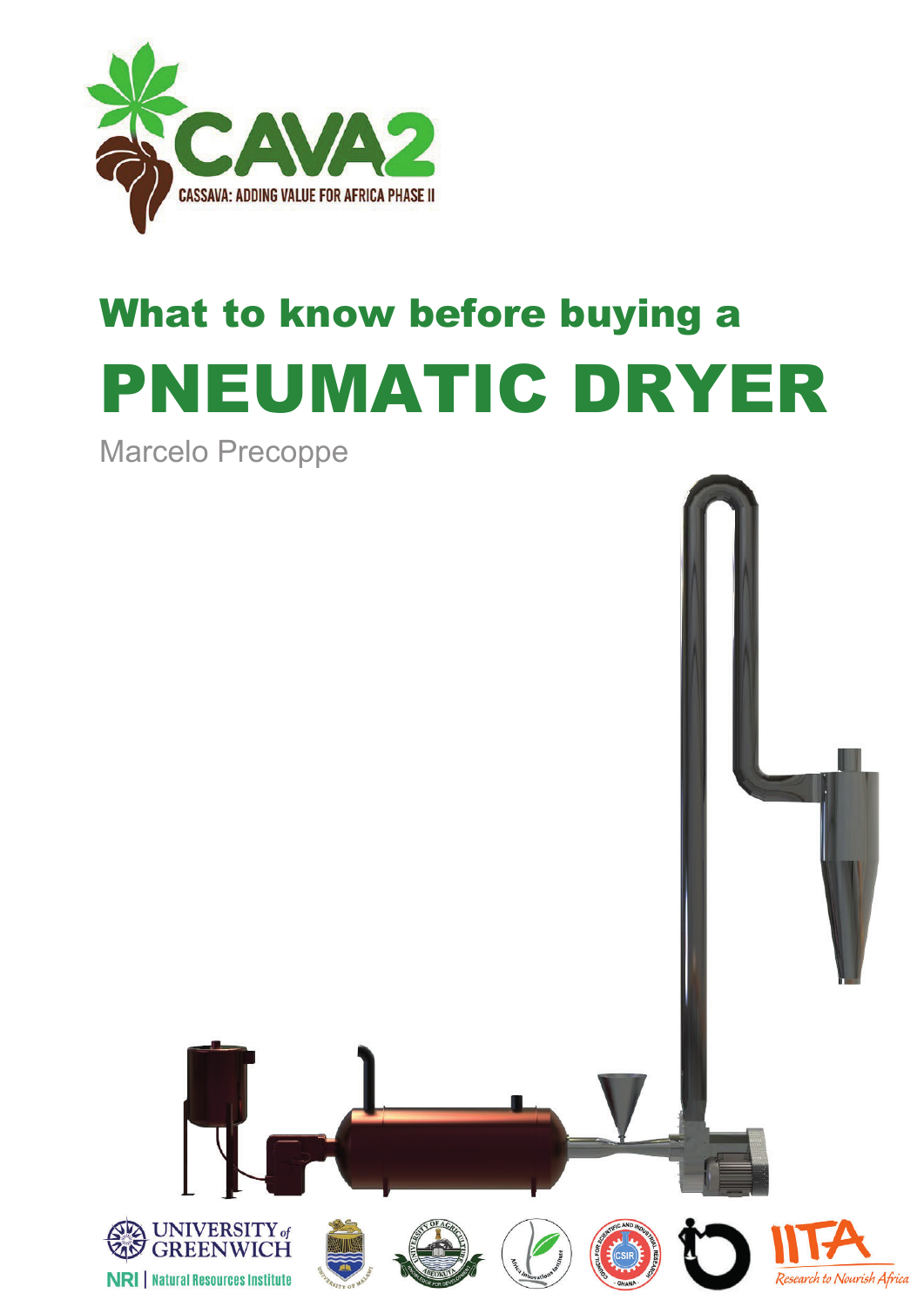

# What to know before buying a PNEUMATIC DRYER

Marcelo Precoppe

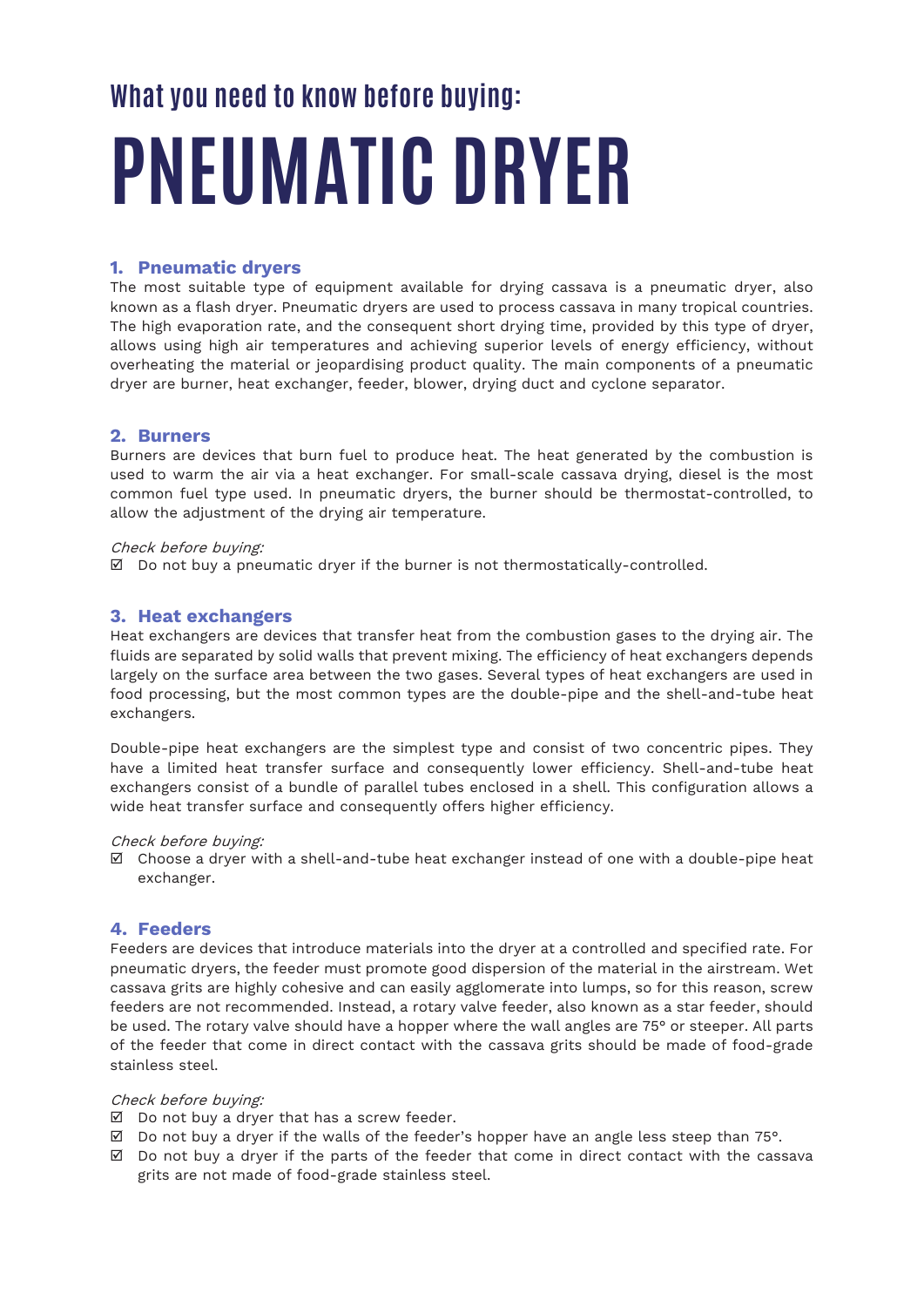# **What you need to know before buying: PNEUMATIC DRYER**

## **1. Pneumatic dryers**

The most suitable type of equipment available for drying cassava is a pneumatic dryer, also known as a flash dryer. Pneumatic dryers are used to process cassava in many tropical countries. The high evaporation rate, and the consequent short drying time, provided by this type of dryer, allows using high air temperatures and achieving superior levels of energy efficiency, without overheating the material or jeopardising product quality. The main components of a pneumatic dryer are burner, heat exchanger, feeder, blower, drying duct and cyclone separator.

## **2. Burners**

Burners are devices that burn fuel to produce heat. The heat generated by the combustion is used to warm the air via a heat exchanger. For small-scale cassava drying, diesel is the most common fuel type used. In pneumatic dryers, the burner should be thermostat-controlled, to allow the adjustment of the drying air temperature.

#### Check before buying:

 $\boxtimes$  Do not buy a pneumatic dryer if the burner is not thermostatically-controlled.

## **3. Heat exchangers**

Heat exchangers are devices that transfer heat from the combustion gases to the drying air. The fluids are separated by solid walls that prevent mixing. The efficiency of heat exchangers depends largely on the surface area between the two gases. Several types of heat exchangers are used in food processing, but the most common types are the double-pipe and the shell-and-tube heat exchangers.

Double-pipe heat exchangers are the simplest type and consist of two concentric pipes. They have a limited heat transfer surface and consequently lower efficiency. Shell-and-tube heat exchangers consist of a bundle of parallel tubes enclosed in a shell. This configuration allows a wide heat transfer surface and consequently offers higher efficiency.

#### Check before buying:

 $\boxtimes$  Choose a dryer with a shell-and-tube heat exchanger instead of one with a double-pipe heat exchanger.

## **4. Feeders**

Feeders are devices that introduce materials into the dryer at a controlled and specified rate. For pneumatic dryers, the feeder must promote good dispersion of the material in the airstream. Wet cassava grits are highly cohesive and can easily agglomerate into lumps, so for this reason, screw feeders are not recommended. Instead, a rotary valve feeder, also known as a star feeder, should be used. The rotary valve should have a hopper where the wall angles are 75° or steeper. All parts of the feeder that come in direct contact with the cassava grits should be made of food-grade stainless steel.

#### Check before buying:

- $\boxtimes$  Do not buy a dryer that has a screw feeder.
- $\boxtimes$  Do not buy a dryer if the walls of the feeder's hopper have an angle less steep than 75°.
- $\boxtimes$  Do not buy a dryer if the parts of the feeder that come in direct contact with the cassava grits are not made of food-grade stainless steel.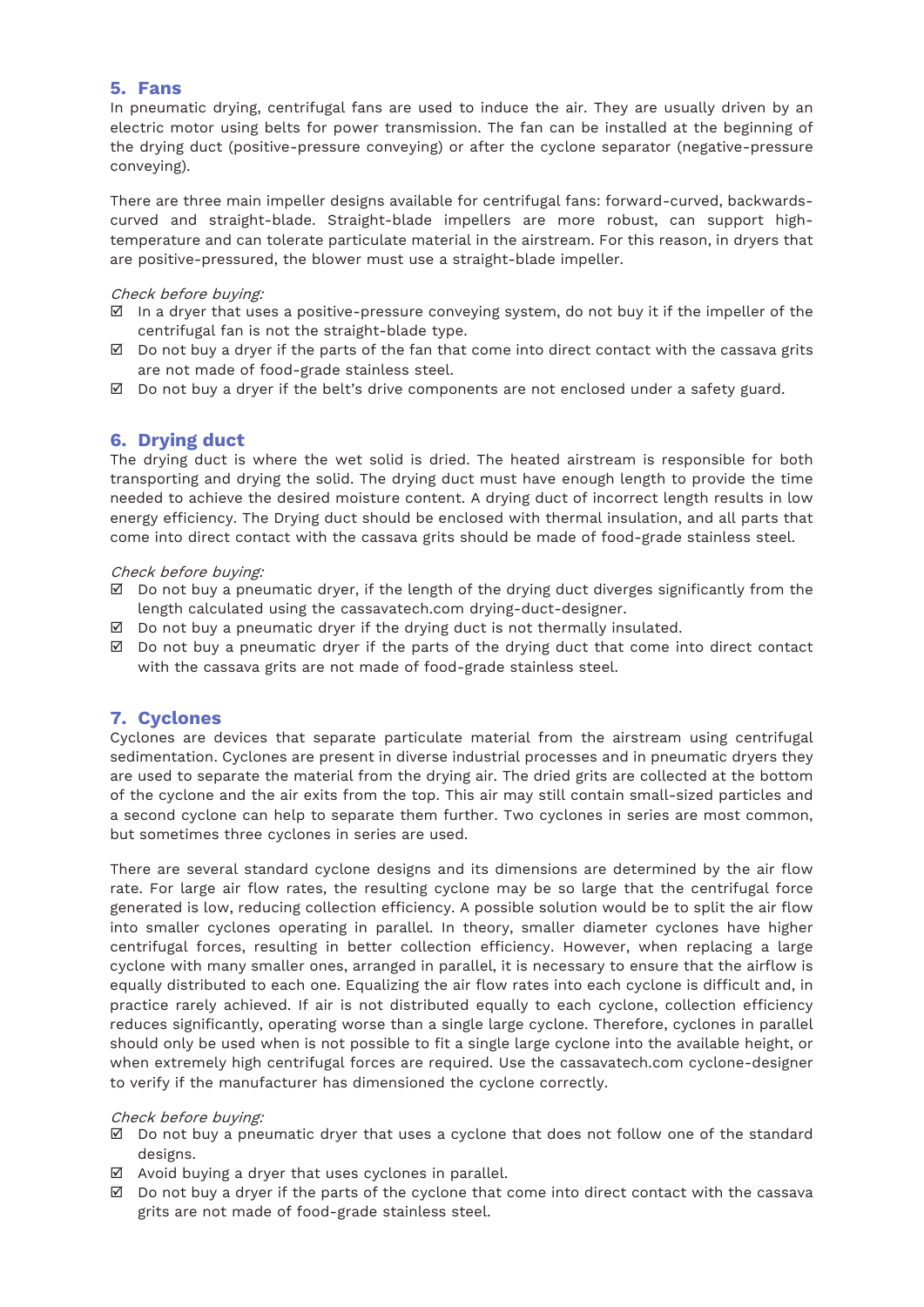### **5. Fans**

In pneumatic drying, centrifugal fans are used to induce the air. They are usually driven by an electric motor using belts for power transmission. The fan can be installed at the beginning of the drying duct (positive-pressure conveying) or after the cyclone separator (negative-pressure conveying).

There are three main impeller designs available for centrifugal fans: forward-curved, backwardscurved and straight-blade. Straight-blade impellers are more robust, can support hightemperature and can tolerate particulate material in the airstream. For this reason, in dryers that are positive-pressured, the blower must use a straight-blade impeller.

#### Check before buying:

- $\boxtimes$  In a dryer that uses a positive-pressure conveying system, do not buy it if the impeller of the centrifugal fan is not the straight-blade type.
- $\boxtimes$  Do not buy a dryer if the parts of the fan that come into direct contact with the cassava grits are not made of food-grade stainless steel.
- $\boxtimes$  Do not buy a dryer if the belt's drive components are not enclosed under a safety guard.

# **6. Drying duct**

The drying duct is where the wet solid is dried. The heated airstream is responsible for both transporting and drying the solid. The drying duct must have enough length to provide the time needed to achieve the desired moisture content. A drying duct of incorrect length results in low energy efficiency. The Drying duct should be enclosed with thermal insulation, and all parts that come into direct contact with the cassava grits should be made of food-grade stainless steel.

#### Check before buying:

- $\boxtimes$  Do not buy a pneumatic dryer, if the length of the drying duct diverges significantly from the length calculated using the cassavatech.com drying-duct-designer.
- $\boxtimes$  Do not buy a pneumatic dryer if the drying duct is not thermally insulated.
- $\boxtimes$  Do not buy a pneumatic dryer if the parts of the drying duct that come into direct contact with the cassava grits are not made of food-grade stainless steel.

## **7. Cyclones**

Cyclones are devices that separate particulate material from the airstream using centrifugal sedimentation. Cyclones are present in diverse industrial processes and in pneumatic dryers they are used to separate the material from the drying air. The dried grits are collected at the bottom of the cyclone and the air exits from the top. This air may still contain small-sized particles and a second cyclone can help to separate them further. Two cyclones in series are most common, but sometimes three cyclones in series are used.

There are several standard cyclone designs and its dimensions are determined by the air flow rate. For large air flow rates, the resulting cyclone may be so large that the centrifugal force generated is low, reducing collection efficiency. A possible solution would be to split the air flow into smaller cyclones operating in parallel. In theory, smaller diameter cyclones have higher centrifugal forces, resulting in better collection efficiency. However, when replacing a large cyclone with many smaller ones, arranged in parallel, it is necessary to ensure that the airflow is equally distributed to each one. Equalizing the air flow rates into each cyclone is difficult and, in practice rarely achieved. If air is not distributed equally to each cyclone, collection efficiency reduces significantly, operating worse than a single large cyclone. Therefore, cyclones in parallel should only be used when is not possible to fit a single large cyclone into the available height, or when extremely high centrifugal forces are required. Use the cassavatech.com cyclone-designer to verify if the manufacturer has dimensioned the cyclone correctly.

#### Check before buying:

- $\boxtimes$  Do not buy a pneumatic dryer that uses a cyclone that does not follow one of the standard designs.
- $\boxtimes$  Avoid buying a dryer that uses cyclones in parallel.
- $\boxtimes$  Do not buy a dryer if the parts of the cyclone that come into direct contact with the cassava grits are not made of food-grade stainless steel.